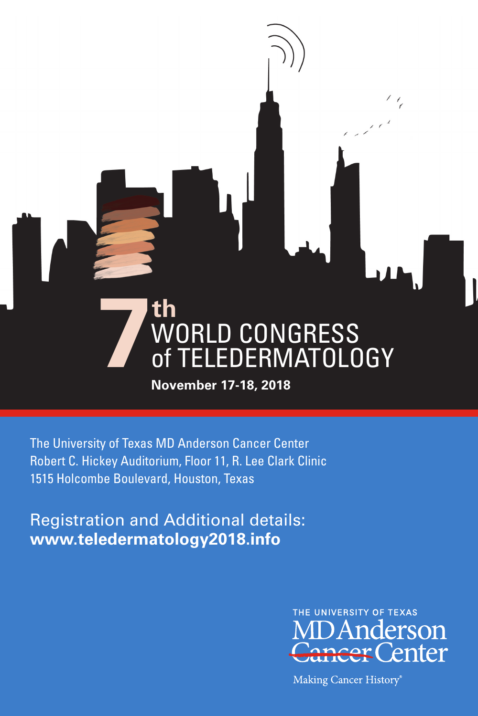

The University of Texas MD Anderson Cancer Center Robert C. Hickey Auditorium, Floor 11, R. Lee Clark Clinic 1515 Holcombe Boulevard, Houston, Texas

Registration and Additional details: **www.teledermatology2018.info**



Making Cancer History®